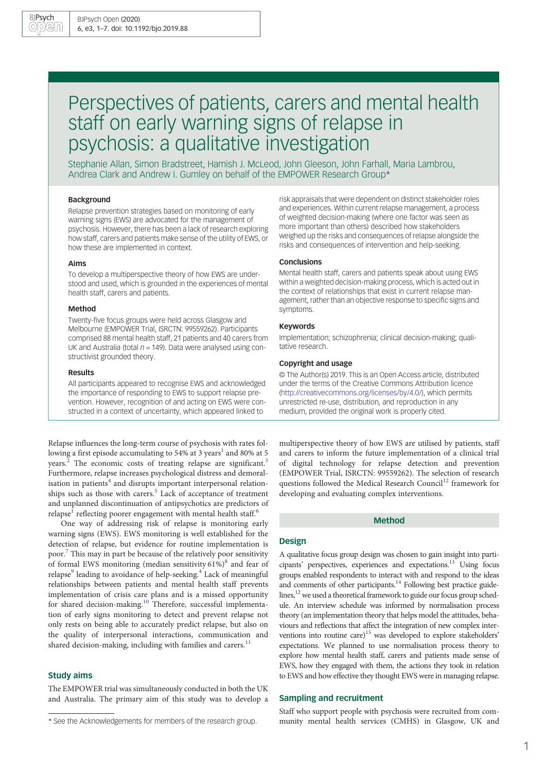# Perspectives of patients, carers and mental health staff on early warning signs of relapse in psychosis: a qualitative investigation

Stephanie Allan, Simon Bradstreet, Hamish J. McLeod, John Gleeson, John Farhall, Maria Lambrou, Andrea Clark and Andrew I. Gumley on behalf of the EMPOWER Research Group\*

## Background

Relapse prevention strategies based on monitoring of early warning signs (EWS) are advocated for the management of psychosis. However, there has been a lack of research exploring how staff, carers and patients make sense of the utility of EWS, or how these are implemented in context.

#### Aims

To develop a multiperspective theory of how EWS are understood and used, which is grounded in the experiences of mental health staff, carers and patients.

## Method

Twenty-five focus groups were held across Glasgow and Melbourne (EMPOWER Trial, ISRCTN: 99559262). Participants comprised 88 mental health staff, 21 patients and 40 carers from UK and Australia (total  $n = 149$ ). Data were analysed using constructivist grounded theory.

#### Results

All participants appeared to recognise EWS and acknowledged the importance of responding to EWS to support relapse prevention. However, recognition of and acting on EWS were constructed in a context of uncertainty, which appeared linked to

Relapse influences the long-term course of psychosis with rates fol-lowing a first episode accumulating to 54% at 3 years<sup>[1](#page-5-0)</sup> and 80% at 5 years.<sup>[2](#page-5-0)</sup> The economic costs of treating relapse are significant.<sup>3</sup> Furthermore, relapse increases psychological distress and demoral-isation in patients<sup>[4](#page-5-0)</sup> and disrupts important interpersonal relation-ships such as those with carers.<sup>[5](#page-5-0)</sup> Lack of acceptance of treatment and unplanned discontinuation of antipsychotics are predictors of relapse<sup>[1](#page-5-0)</sup> reflecting poorer engagement with mental health staff. $6$ 

One way of addressing risk of relapse is monitoring early warning signs (EWS). EWS monitoring is well established for the detection of relapse, but evidence for routine implementation is poor.[7](#page-5-0) This may in part be because of the relatively poor sensitivity of formal EWS monitoring (median sensitivity 61%)<sup>[8](#page-5-0)</sup> and fear of relapse<sup>[9](#page-5-0)</sup> leading to avoidance of help-seeking.<sup>[4](#page-5-0)</sup> Lack of meaningful relationships between patients and mental health staff prevents implementation of crisis care plans and is a missed opportunity for shared decision-making.<sup>[10](#page-5-0)</sup> Therefore, successful implementation of early signs monitoring to detect and prevent relapse not only rests on being able to accurately predict relapse, but also on the quality of interpersonal interactions, communication and shared decision-making, including with families and carers.<sup>[11](#page-5-0)</sup>

# Study aims

The EMPOWER trial was simultaneously conducted in both the UK and Australia. The primary aim of this study was to develop a risk appraisals that were dependent on distinct stakeholder roles and experiences. Within current relapse management, a process of weighted decision-making (where one factor was seen as more important than others) described how stakeholders weighed up the risks and consequences of relapse alongside the risks and consequences of intervention and help-seeking.

#### Conclusions

Mental health staff, carers and patients speak about using EWS within a weighted decision-making process, which is acted out in the context of relationships that exist in current relapse management, rather than an objective response to specific signs and symptoms.

## Keywords

Implementation; schizophrenia; clinical decision-making; qualitative research.

#### Copyright and usage

© The Author(s) 2019. This is an Open Access article, distributed under the terms of the Creative Commons Attribution licence [\(http://creativecommons.org/licenses/by/4.0/\)](http://creativecommons.org/licenses/by/4.0/), which permits unrestricted re-use, distribution, and reproduction in any medium, provided the original work is properly cited.

multiperspective theory of how EWS are utilised by patients, staff and carers to inform the future implementation of a clinical trial of digital technology for relapse detection and prevention (EMPOWER Trial, ISRCTN: 99559262). The selection of research questions followed the Medical Research Council<sup>12</sup> framework for developing and evaluating complex interventions.

# Method

#### Design

A qualitative focus group design was chosen to gain insight into participants' perspectives, experiences and expectations.[13](#page-5-0) Using focus groups enabled respondents to interact with and respond to the ideas and comments of other participants.<sup>14</sup> Following best practice guide-lines,<sup>[12](#page-5-0)</sup> we used a theoretical framework to guide our focus group schedule. An interview schedule was informed by normalisation process theory (an implementation theory that helps model the attitudes, behaviours and reflections that affect the integration of new complex inter-ventions into routine care)<sup>[15](#page-5-0)</sup> was developed to explore stakeholders' expectations. We planned to use normalisation process theory to explore how mental health staff, carers and patients made sense of EWS, how they engaged with them, the actions they took in relation to EWS and how effective they thought EWS were in managing relapse.

## Sampling and recruitment

Staff who support people with psychosis were recruited from com- \* See the Acknowledgements for members of the research group. munity mental health services (CMHS) in Glasgow, UK and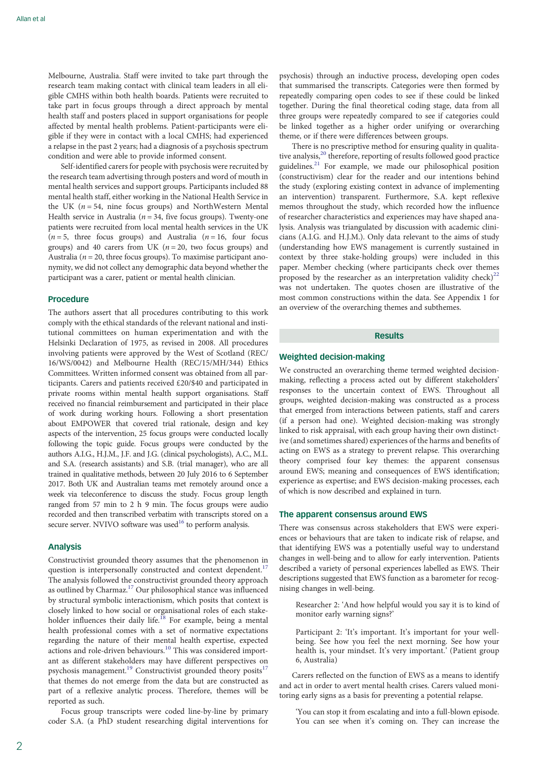Melbourne, Australia. Staff were invited to take part through the research team making contact with clinical team leaders in all eligible CMHS within both health boards. Patients were recruited to take part in focus groups through a direct approach by mental health staff and posters placed in support organisations for people affected by mental health problems. Patient-participants were eligible if they were in contact with a local CMHS; had experienced a relapse in the past 2 years; had a diagnosis of a psychosis spectrum condition and were able to provide informed consent.

Self-identified carers for people with psychosis were recruited by the research team advertising through posters and word of mouth in mental health services and support groups. Participants included 88 mental health staff, either working in the National Health Service in the UK ( $n = 54$ , nine focus groups) and NorthWestern Mental Health service in Australia ( $n = 34$ , five focus groups). Twenty-one patients were recruited from local mental health services in the UK  $(n=5, \text{ three focus groups})$  and Australia  $(n=16, \text{ four focus})$ groups) and 40 carers from UK ( $n = 20$ , two focus groups) and Australia ( $n = 20$ , three focus groups). To maximise participant anonymity, we did not collect any demographic data beyond whether the participant was a carer, patient or mental health clinician.

# Procedure

The authors assert that all procedures contributing to this work comply with the ethical standards of the relevant national and institutional committees on human experimentation and with the Helsinki Declaration of 1975, as revised in 2008. All procedures involving patients were approved by the West of Scotland (REC/ 16/WS/0042) and Melbourne Health (REC/15/MH/344) Ethics Committees. Written informed consent was obtained from all participants. Carers and patients received £20/\$40 and participated in private rooms within mental health support organisations. Staff received no financial reimbursement and participated in their place of work during working hours. Following a short presentation about EMPOWER that covered trial rationale, design and key aspects of the intervention, 25 focus groups were conducted locally following the topic guide. Focus groups were conducted by the authors A.I.G., H.J.M., J.F. and J.G. (clinical psychologists), A.C., M.L. and S.A. (research assistants) and S.B. (trial manager), who are all trained in qualitative methods, between 20 July 2016 to 6 September 2017. Both UK and Australian teams met remotely around once a week via teleconference to discuss the study. Focus group length ranged from 57 min to 2 h 9 min. The focus groups were audio recorded and then transcribed verbatim with transcripts stored on a secure server. NVIVO software was used $16$  to perform analysis.

# Analysis

Constructivist grounded theory assumes that the phenomenon in question is interpersonally constructed and context dependent.<sup>[17](#page-5-0)</sup> The analysis followed the constructivist grounded theory approach as outlined by Charmaz[.17](#page-5-0) Our philosophical stance was influenced by structural symbolic interactionism, which posits that context is closely linked to how social or organisational roles of each stake-holder influences their daily life.<sup>[18](#page-5-0)</sup> For example, being a mental health professional comes with a set of normative expectations regarding the nature of their mental health expertise, expected actions and role-driven behaviours.[10](#page-5-0) This was considered important as different stakeholders may have different perspectives on psychosis management.<sup>19</sup> Constructivist grounded theory posits<sup>[17](#page-5-0)</sup> that themes do not emerge from the data but are constructed as part of a reflexive analytic process. Therefore, themes will be reported as such.

Focus group transcripts were coded line-by-line by primary coder S.A. (a PhD student researching digital interventions for psychosis) through an inductive process, developing open codes that summarised the transcripts. Categories were then formed by repeatedly comparing open codes to see if these could be linked together. During the final theoretical coding stage, data from all three groups were repeatedly compared to see if categories could be linked together as a higher order unifying or overarching theme, or if there were differences between groups.

There is no prescriptive method for ensuring quality in qualitative analysis,<sup>20</sup> therefore, reporting of results followed good practice guidelines.<sup>[21](#page-5-0)</sup> For example, we made our philosophical position (constructivism) clear for the reader and our intentions behind the study (exploring existing context in advance of implementing an intervention) transparent. Furthermore, S.A. kept reflexive memos throughout the study, which recorded how the influence of researcher characteristics and experiences may have shaped analysis. Analysis was triangulated by discussion with academic clinicians (A.I.G. and H.J.M.). Only data relevant to the aims of study (understanding how EWS management is currently sustained in context by three stake-holding groups) were included in this paper. Member checking (where participants check over themes proposed by the researcher as an interpretation validity check)<sup>[22](#page-5-0)</sup> was not undertaken. The quotes chosen are illustrative of the most common constructions within the data. See Appendix 1 for an overview of the overarching themes and subthemes.

# Results

## Weighted decision-making

We constructed an overarching theme termed weighted decisionmaking, reflecting a process acted out by different stakeholders' responses to the uncertain context of EWS. Throughout all groups, weighted decision-making was constructed as a process that emerged from interactions between patients, staff and carers (if a person had one). Weighted decision-making was strongly linked to risk appraisal, with each group having their own distinctive (and sometimes shared) experiences of the harms and benefits of acting on EWS as a strategy to prevent relapse. This overarching theory comprised four key themes: the apparent consensus around EWS; meaning and consequences of EWS identification; experience as expertise; and EWS decision-making processes, each of which is now described and explained in turn.

## The apparent consensus around EWS

There was consensus across stakeholders that EWS were experiences or behaviours that are taken to indicate risk of relapse, and that identifying EWS was a potentially useful way to understand changes in well-being and to allow for early intervention. Patients described a variety of personal experiences labelled as EWS. Their descriptions suggested that EWS function as a barometer for recognising changes in well-being.

Researcher 2: 'And how helpful would you say it is to kind of monitor early warning signs?'

Participant 2: 'It's important. It's important for your wellbeing. See how you feel the next morning. See how your health is, your mindset. It's very important.' (Patient group 6, Australia)

Carers reflected on the function of EWS as a means to identify and act in order to avert mental health crises. Carers valued monitoring early signs as a basis for preventing a potential relapse.

'You can stop it from escalating and into a full-blown episode. You can see when it's coming on. They can increase the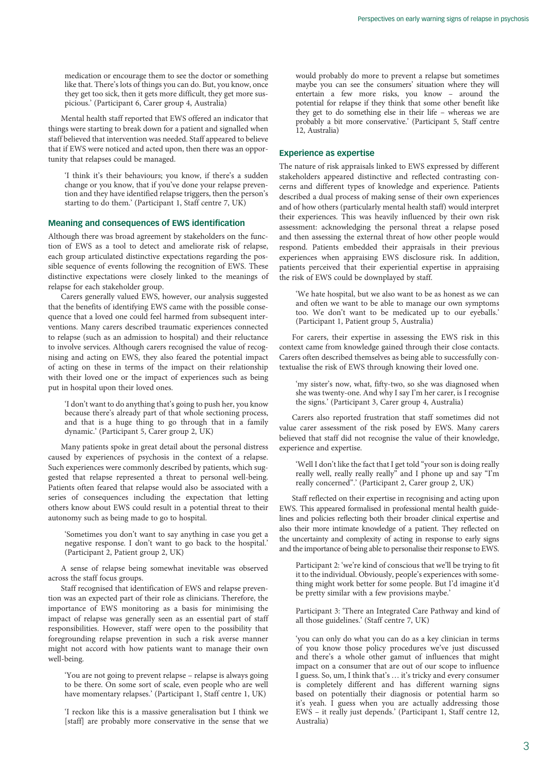medication or encourage them to see the doctor or something like that. There's lots of things you can do. But, you know, once they get too sick, then it gets more difficult, they get more suspicious.' (Participant 6, Carer group 4, Australia)

Mental health staff reported that EWS offered an indicator that things were starting to break down for a patient and signalled when staff believed that intervention was needed. Staff appeared to believe that if EWS were noticed and acted upon, then there was an opportunity that relapses could be managed.

'I think it's their behaviours; you know, if there's a sudden change or you know, that if you've done your relapse prevention and they have identified relapse triggers, then the person's starting to do them.' (Participant 1, Staff centre 7, UK)

#### Meaning and consequences of EWS identification

Although there was broad agreement by stakeholders on the function of EWS as a tool to detect and ameliorate risk of relapse, each group articulated distinctive expectations regarding the possible sequence of events following the recognition of EWS. These distinctive expectations were closely linked to the meanings of relapse for each stakeholder group.

Carers generally valued EWS, however, our analysis suggested that the benefits of identifying EWS came with the possible consequence that a loved one could feel harmed from subsequent interventions. Many carers described traumatic experiences connected to relapse (such as an admission to hospital) and their reluctance to involve services. Although carers recognised the value of recognising and acting on EWS, they also feared the potential impact of acting on these in terms of the impact on their relationship with their loved one or the impact of experiences such as being put in hospital upon their loved ones.

'I don't want to do anything that's going to push her, you know because there's already part of that whole sectioning process, and that is a huge thing to go through that in a family dynamic.' (Participant 5, Carer group 2, UK)

Many patients spoke in great detail about the personal distress caused by experiences of psychosis in the context of a relapse. Such experiences were commonly described by patients, which suggested that relapse represented a threat to personal well-being. Patients often feared that relapse would also be associated with a series of consequences including the expectation that letting others know about EWS could result in a potential threat to their autonomy such as being made to go to hospital.

'Sometimes you don't want to say anything in case you get a negative response. I don't want to go back to the hospital.' (Participant 2, Patient group 2, UK)

A sense of relapse being somewhat inevitable was observed across the staff focus groups.

Staff recognised that identification of EWS and relapse prevention was an expected part of their role as clinicians. Therefore, the importance of EWS monitoring as a basis for minimising the impact of relapse was generally seen as an essential part of staff responsibilities. However, staff were open to the possibility that foregrounding relapse prevention in such a risk averse manner might not accord with how patients want to manage their own well-being.

'You are not going to prevent relapse – relapse is always going to be there. On some sort of scale, even people who are well have momentary relapses.' (Participant 1, Staff centre 1, UK)

'I reckon like this is a massive generalisation but I think we [staff] are probably more conservative in the sense that we would probably do more to prevent a relapse but sometimes maybe you can see the consumers' situation where they will entertain a few more risks, you know – around the potential for relapse if they think that some other benefit like they get to do something else in their life – whereas we are probably a bit more conservative.' (Participant 5, Staff centre 12, Australia)

#### Experience as expertise

The nature of risk appraisals linked to EWS expressed by different stakeholders appeared distinctive and reflected contrasting concerns and different types of knowledge and experience. Patients described a dual process of making sense of their own experiences and of how others (particularly mental health staff) would interpret their experiences. This was heavily influenced by their own risk assessment: acknowledging the personal threat a relapse posed and then assessing the external threat of how other people would respond. Patients embedded their appraisals in their previous experiences when appraising EWS disclosure risk. In addition, patients perceived that their experiential expertise in appraising the risk of EWS could be downplayed by staff.

'We hate hospital, but we also want to be as honest as we can and often we want to be able to manage our own symptoms too. We don't want to be medicated up to our eyeballs.' (Participant 1, Patient group 5, Australia)

For carers, their expertise in assessing the EWS risk in this context came from knowledge gained through their close contacts. Carers often described themselves as being able to successfully contextualise the risk of EWS through knowing their loved one.

'my sister's now, what, fifty-two, so she was diagnosed when she was twenty-one. And why I say I'm her carer, is I recognise the signs.' (Participant 3, Carer group 4, Australia)

Carers also reported frustration that staff sometimes did not value carer assessment of the risk posed by EWS. Many carers believed that staff did not recognise the value of their knowledge, experience and expertise.

'Well I don't like the fact that I get told "your son is doing really really well, really really really" and I phone up and say "I'm really concerned".' (Participant 2, Carer group 2, UK)

Staff reflected on their expertise in recognising and acting upon EWS. This appeared formalised in professional mental health guidelines and policies reflecting both their broader clinical expertise and also their more intimate knowledge of a patient. They reflected on the uncertainty and complexity of acting in response to early signs and the importance of being able to personalise their response to EWS.

Participant 2: 'we're kind of conscious that we'll be trying to fit it to the individual. Obviously, people's experiences with something might work better for some people. But I'd imagine it'd be pretty similar with a few provisions maybe.'

Participant 3: 'There an Integrated Care Pathway and kind of all those guidelines.' (Staff centre 7, UK)

'you can only do what you can do as a key clinician in terms of you know those policy procedures we've just discussed and there's a whole other gamut of influences that might impact on a consumer that are out of our scope to influence I guess. So, um, I think that's … it's tricky and every consumer is completely different and has different warning signs based on potentially their diagnosis or potential harm so it's yeah. I guess when you are actually addressing those EWS – it really just depends.' (Participant 1, Staff centre 12, Australia)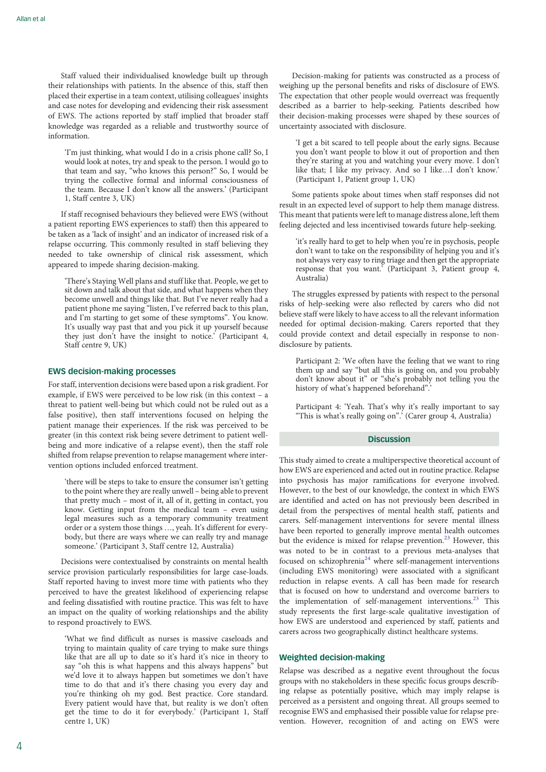Staff valued their individualised knowledge built up through their relationships with patients. In the absence of this, staff then placed their expertise in a team context, utilising colleagues' insights and case notes for developing and evidencing their risk assessment of EWS. The actions reported by staff implied that broader staff knowledge was regarded as a reliable and trustworthy source of information.

'I'm just thinking, what would I do in a crisis phone call? So, I would look at notes, try and speak to the person. I would go to that team and say, "who knows this person?" So, I would be trying the collective formal and informal consciousness of the team. Because I don't know all the answers.' (Participant 1, Staff centre 3, UK)

If staff recognised behaviours they believed were EWS (without a patient reporting EWS experiences to staff) then this appeared to be taken as a 'lack of insight' and an indicator of increased risk of a relapse occurring. This commonly resulted in staff believing they needed to take ownership of clinical risk assessment, which appeared to impede sharing decision-making.

'There's Staying Well plans and stuff like that. People, we get to sit down and talk about that side, and what happens when they become unwell and things like that. But I've never really had a patient phone me saying "listen, I've referred back to this plan, and I'm starting to get some of these symptoms". You know. It's usually way past that and you pick it up yourself because they just don't have the insight to notice.' (Participant 4, Staff centre 9, UK)

## EWS decision-making processes

For staff, intervention decisions were based upon a risk gradient. For example, if EWS were perceived to be low risk (in this context – a threat to patient well-being but which could not be ruled out as a false positive), then staff interventions focused on helping the patient manage their experiences. If the risk was perceived to be greater (in this context risk being severe detriment to patient wellbeing and more indicative of a relapse event), then the staff role shifted from relapse prevention to relapse management where intervention options included enforced treatment.

'there will be steps to take to ensure the consumer isn't getting to the point where they are really unwell – being able to prevent that pretty much – most of it, all of it, getting in contact, you know. Getting input from the medical team – even using legal measures such as a temporary community treatment order or a system those things …, yeah. It's different for everybody, but there are ways where we can really try and manage someone.' (Participant 3, Staff centre 12, Australia)

Decisions were contextualised by constraints on mental health service provision particularly responsibilities for large case-loads. Staff reported having to invest more time with patients who they perceived to have the greatest likelihood of experiencing relapse and feeling dissatisfied with routine practice. This was felt to have an impact on the quality of working relationships and the ability to respond proactively to EWS.

'What we find difficult as nurses is massive caseloads and trying to maintain quality of care trying to make sure things like that are all up to date so it's hard it's nice in theory to say "oh this is what happens and this always happens" but we'd love it to always happen but sometimes we don't have time to do that and it's there chasing you every day and you're thinking oh my god. Best practice. Core standard. Every patient would have that, but reality is we don't often get the time to do it for everybody.' (Participant 1, Staff centre 1, UK)

Decision-making for patients was constructed as a process of weighing up the personal benefits and risks of disclosure of EWS. The expectation that other people would overreact was frequently described as a barrier to help-seeking. Patients described how their decision-making processes were shaped by these sources of uncertainty associated with disclosure.

'I get a bit scared to tell people about the early signs. Because you don't want people to blow it out of proportion and then they're staring at you and watching your every move. I don't like that; I like my privacy. And so I like…I don't know.' (Participant 1, Patient group 1, UK)

Some patients spoke about times when staff responses did not result in an expected level of support to help them manage distress. This meant that patients were left to manage distress alone, left them feeling dejected and less incentivised towards future help-seeking.

'it's really hard to get to help when you're in psychosis, people don't want to take on the responsibility of helping you and it's not always very easy to ring triage and then get the appropriate response that you want.' (Participant 3, Patient group 4, Australia)

The struggles expressed by patients with respect to the personal risks of help-seeking were also reflected by carers who did not believe staff were likely to have access to all the relevant information needed for optimal decision-making. Carers reported that they could provide context and detail especially in response to nondisclosure by patients.

Participant 2: 'We often have the feeling that we want to ring them up and say "but all this is going on, and you probably don't know about it" or "she's probably not telling you the history of what's happened beforehand".

Participant 4: 'Yeah. That's why it's really important to say "This is what's really going on".<sup>'</sup> (Carer group 4, Australia)

# **Discussion**

This study aimed to create a multiperspective theoretical account of how EWS are experienced and acted out in routine practice. Relapse into psychosis has major ramifications for everyone involved. However, to the best of our knowledge, the context in which EWS are identified and acted on has not previously been described in detail from the perspectives of mental health staff, patients and carers. Self-management interventions for severe mental illness have been reported to generally improve mental health outcomes but the evidence is mixed for relapse prevention.<sup>23</sup> However, this was noted to be in contrast to a previous meta-analyses that focused on schizophrenia[24](#page-5-0) where self-management interventions (including EWS monitoring) were associated with a significant reduction in relapse events. A call has been made for research that is focused on how to understand and overcome barriers to the implementation of self-management interventions.<sup>[23](#page-5-0)</sup> This study represents the first large-scale qualitative investigation of how EWS are understood and experienced by staff, patients and carers across two geographically distinct healthcare systems.

## Weighted decision-making

Relapse was described as a negative event throughout the focus groups with no stakeholders in these specific focus groups describing relapse as potentially positive, which may imply relapse is perceived as a persistent and ongoing threat. All groups seemed to recognise EWS and emphasised their possible value for relapse prevention. However, recognition of and acting on EWS were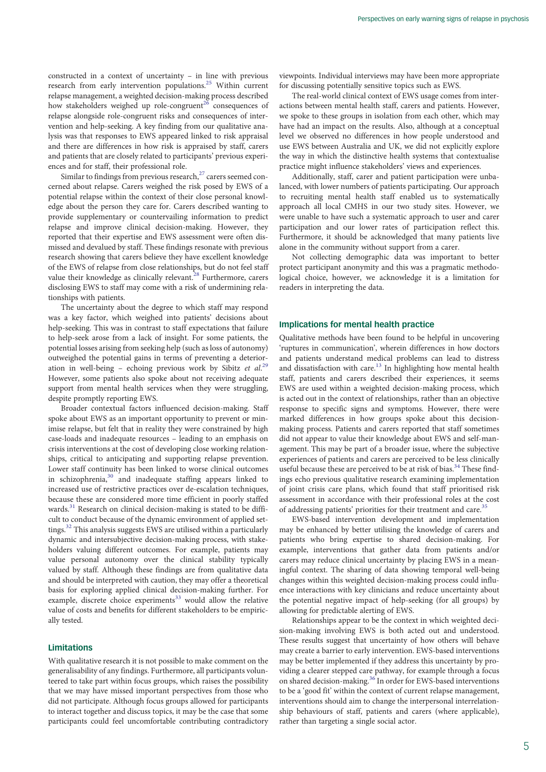constructed in a context of uncertainty – in line with previous research from early intervention populations.[25](#page-5-0) Within current relapse management, a weighted decision-making process described how stakeholders weighed up role-congruent<sup>[26](#page-5-0)</sup> consequences of relapse alongside role-congruent risks and consequences of intervention and help-seeking. A key finding from our qualitative analysis was that responses to EWS appeared linked to risk appraisal and there are differences in how risk is appraised by staff, carers and patients that are closely related to participants' previous experiences and for staff, their professional role.

Similar to findings from previous research,<sup>[27](#page-6-0)</sup> carers seemed concerned about relapse. Carers weighed the risk posed by EWS of a potential relapse within the context of their close personal knowledge about the person they care for. Carers described wanting to provide supplementary or countervailing information to predict relapse and improve clinical decision-making. However, they reported that their expertise and EWS assessment were often dismissed and devalued by staff. These findings resonate with previous research showing that carers believe they have excellent knowledge of the EWS of relapse from close relationships, but do not feel staff value their knowledge as clinically relevant.<sup>[28](#page-6-0)</sup> Furthermore, carers disclosing EWS to staff may come with a risk of undermining relationships with patients.

The uncertainty about the degree to which staff may respond was a key factor, which weighed into patients' decisions about help-seeking. This was in contrast to staff expectations that failure to help-seek arose from a lack of insight. For some patients, the potential losses arising from seeking help (such as loss of autonomy) outweighed the potential gains in terms of preventing a deterioration in well-being - echoing previous work by Sibitz et  $al$ .<sup>[29](#page-6-0)</sup> However, some patients also spoke about not receiving adequate support from mental health services when they were struggling, despite promptly reporting EWS.

Broader contextual factors influenced decision-making. Staff spoke about EWS as an important opportunity to prevent or minimise relapse, but felt that in reality they were constrained by high case-loads and inadequate resources – leading to an emphasis on crisis interventions at the cost of developing close working relationships, critical to anticipating and supporting relapse prevention. Lower staff continuity has been linked to worse clinical outcomes in schizophrenia,<sup>[30](#page-6-0)</sup> and inadequate staffing appears linked to increased use of restrictive practices over de-escalation techniques, because these are considered more time efficient in poorly staffed wards.<sup>[31](#page-6-0)</sup> Research on clinical decision-making is stated to be difficult to conduct because of the dynamic environment of applied settings.[32](#page-6-0) This analysis suggests EWS are utilised within a particularly dynamic and intersubjective decision-making process, with stakeholders valuing different outcomes. For example, patients may value personal autonomy over the clinical stability typically valued by staff. Although these findings are from qualitative data and should be interpreted with caution, they may offer a theoretical basis for exploring applied clinical decision-making further. For example, discrete choice experiments $33$  would allow the relative value of costs and benefits for different stakeholders to be empirically tested.

# Limitations

With qualitative research it is not possible to make comment on the generalisability of any findings. Furthermore, all participants volunteered to take part within focus groups, which raises the possibility that we may have missed important perspectives from those who did not participate. Although focus groups allowed for participants to interact together and discuss topics, it may be the case that some participants could feel uncomfortable contributing contradictory

viewpoints. Individual interviews may have been more appropriate for discussing potentially sensitive topics such as EWS.

The real-world clinical context of EWS usage comes from interactions between mental health staff, carers and patients. However, we spoke to these groups in isolation from each other, which may have had an impact on the results. Also, although at a conceptual level we observed no differences in how people understood and use EWS between Australia and UK, we did not explicitly explore the way in which the distinctive health systems that contextualise practice might influence stakeholders' views and experiences.

Additionally, staff, carer and patient participation were unbalanced, with lower numbers of patients participating. Our approach to recruiting mental health staff enabled us to systematically approach all local CMHS in our two study sites. However, we were unable to have such a systematic approach to user and carer participation and our lower rates of participation reflect this. Furthermore, it should be acknowledged that many patients live alone in the community without support from a carer.

Not collecting demographic data was important to better protect participant anonymity and this was a pragmatic methodological choice, however, we acknowledge it is a limitation for readers in interpreting the data.

# Implications for mental health practice

Qualitative methods have been found to be helpful in uncovering 'ruptures in communication', wherein differences in how doctors and patients understand medical problems can lead to distress and dissatisfaction with care.<sup>[13](#page-5-0)</sup> In highlighting how mental health staff, patients and carers described their experiences, it seems EWS are used within a weighted decision-making process, which is acted out in the context of relationships, rather than an objective response to specific signs and symptoms. However, there were marked differences in how groups spoke about this decisionmaking process. Patients and carers reported that staff sometimes did not appear to value their knowledge about EWS and self-management. This may be part of a broader issue, where the subjective experiences of patients and carers are perceived to be less clinically useful because these are perceived to be at risk of bias.<sup>[34](#page-6-0)</sup> These findings echo previous qualitative research examining implementation of joint crisis care plans, which found that staff prioritised risk assessment in accordance with their professional roles at the cost of addressing patients' priorities for their treatment and care.<sup>[35](#page-6-0)</sup>

EWS-based intervention development and implementation may be enhanced by better utilising the knowledge of carers and patients who bring expertise to shared decision-making. For example, interventions that gather data from patients and/or carers may reduce clinical uncertainty by placing EWS in a meaningful context. The sharing of data showing temporal well-being changes within this weighted decision-making process could influence interactions with key clinicians and reduce uncertainty about the potential negative impact of help-seeking (for all groups) by allowing for predictable alerting of EWS.

Relationships appear to be the context in which weighted decision-making involving EWS is both acted out and understood. These results suggest that uncertainty of how others will behave may create a barrier to early intervention. EWS-based interventions may be better implemented if they address this uncertainty by providing a clearer stepped care pathway, for example through a focus on shared decision-making.<sup>[36](#page-6-0)</sup> In order for EWS-based interventions to be a 'good fit' within the context of current relapse management, interventions should aim to change the interpersonal interrelationship behaviours of staff, patients and carers (where applicable), rather than targeting a single social actor.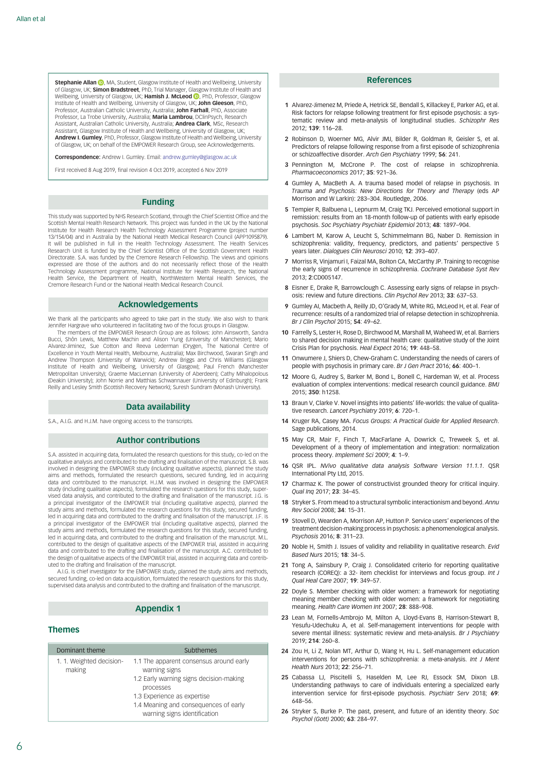<span id="page-5-0"></span>Stephanie Allan (D, MA, Student, Glasgow Institute of Health and Wellbeing, University of Glasgow, UK; **Simon Bradstreet**, PhD, Trial Manager, Glasgow Institute of Health and<br>Wellbeing, University of Glasgow, UK; **Hamish J. McLeod ©**, PhD, Professor, Glasgow Institute of Health and Wellbeing, University of Glasgow, UK; John Gleeson, PhD, Professor, Australian Catholic University, Australia; John Farhall, PhD, Associate Professor, La Trobe University, Australia; Maria Lambrou, DClinPsych, Research Assistant, Australian Catholic University, Australia; **Andrea Clark**, MSc, Research Assistant, Glasgow Institute of Health and Wellbeing, University of Glasgow, UK; Andrew I. Gumley, PhD, Professor, Glasgow Institute of Health and Wellbeing, University of Glasgow, UK; on behalf of the EMPOWER Research Group, see Acknowledgements.

Correspondence: Andrew I. Gumley. Email: [andrew.gumley@glasgow.ac.uk](mailto:andrew.gumley@glasgow.ac.uk)

First received 8 Aug 2019, final revision 4 Oct 2019, accepted 6 Nov 2019

## Funding

This study was supported by NHS Research Scotland, through the Chief Scientist Office and the Scottish Mental Health Research Network. This project was funded in the UK by the National Institute for Health Research Health Technology Assessment Programme (project number 13/154/04) and in Australia by the National Heath Medical Research Council (APP1095879). It will be published in full in the Health Technology Assessment. The Health Services Research Unit is funded by the Chief Scientist Office of the Scottish Government Health Directorate. S.A. was funded by the Cremore Research Fellowship. The views and opinions expressed are those of the authors and do not necessarily reflect those of the Health Technology Assessment programme, National Institute for Health Research, the National Health Service, the Department of Health, NorthWestern Mental Health Services, the Cremore Research Fund or the National Health Medical Research Council.

#### Acknowledgements

We thank all the participants who agreed to take part in the study. We also wish to thank Jennifer Hargrave who volunteered in facilitating two of the focus groups in Glasgow. The members of the EMPOWER Research Group are as follows: John Ainsworth, Sandra

Bucci, Shôn Lewis, Matthew Machin and Alison Yung (University of Manchester); Mario Alvarez-Jiminez, Sue Cotton and Reeva Lederman (Orygen, The National Centre of Excellence in Youth Mental Health, Melbourne, Australia); Max Birchwood, Swaran Singh and Andrew Thompson (University of Warwick); Andrew Briggs and Chris Williams (Glasgow Institute of Health and Wellbeing, University of Glasgow); Paul French (Manchester Metropolitan University); Graeme MacLennan (University of Aberdeen); Cathy Mihalopolous (Deakin University); John Norrie and Matthias Schwannauer (University of Edinburgh); Frank Reilly and Lesley Smith (Scottish Recovery Network); Suresh Sundram (Monash University).

### Data availability

S.A., A.I.G. and H.J.M. have ongoing access to the transcripts.

#### Author contributions

S.A. assisted in acquiring data, formulated the research questions for this study, co-led on the qualitative analysis and contributed to the drafting and finalisation of the manuscript. S.B. was involved in designing the EMPOWER study (including qualitative aspects), planned the study aims and methods, formulated the research questions, secured funding, led in acquiring data and contributed to the manuscript. H.J.M. was involved in designing the EMPOWER study (including qualitative aspects), formulated the research questions for this study, supervised data analysis, and contributed to the drafting and finalisation of the manuscript. J.G. is a principal investigator of the EMPOWER trial (including qualitative aspects), planned the study aims and methods, formulated the research questions for this study, secured funding, led in acquiring data and contributed to the drafting and finalisation of the manuscript. J.F. is a principal investigator of the EMPOWER trial (including qualitative aspects), planned the study aims and methods, formulated the research questions for this study, secured funding, led in acquiring data, and contributed to the drafting and finalisation of the manuscript. M.L. contributed to the design of qualitative aspects of the EMPOWER trial, assisted in acquiring data and contributed to the drafting and finalisation of the manuscript. A.C. contributed to the design of qualitative aspects of the EMPOWER trial, assisted in acquiring data and contributed to the drafting and finalisation of the manuscript.

A.I.G. is chief investigator for the EMPOWER study, planned the study aims and methods, secured funding, co-led on data acquisition, formulated the research questions for this study, supervised data analysis and contributed to the drafting and finalisation of the manuscript.

# Appendix 1

#### **Themes**

| Dominant theme                     | Subthemes                                                                                                        |
|------------------------------------|------------------------------------------------------------------------------------------------------------------|
| 1. 1. Weighted decision-<br>making | 1.1 The apparent consensus around early<br>warning signs<br>1.2 Early warning signs decision-making<br>processes |
|                                    | 1.3 Experience as expertise<br>1.4 Meaning and consequences of early<br>warning signs identification             |

#### References

- 1 Alvarez-Jimenez M, Priede A, Hetrick SE, Bendall S, Killackey E, Parker AG, et al. Risk factors for relapse following treatment for first episode psychosis: a systematic review and meta-analysis of longitudinal studies. Schizophr Res 2012; 139: 116–28.
- 2 Robinson D, Woerner MG, Alvir JMJ, Bilder R, Goldman R, Geisler S, et al. Predictors of relapse following response from a first episode of schizophrenia or schizoaffective disorder. Arch Gen Psychiatry 1999; 56: 241.
- 3 Pennington M, McCrone P. The cost of relapse in schizophrenia. Pharmacoeconomics 2017; 35: 921–36.
- 4 Gumley A, MacBeth A. A trauma based model of relapse in psychosis. In Trauma and Psychosis: New Directions for Theory and Therapy (eds AP Morrison and W Larkin): 283–304. Routledge, 2006.
- 5 Tempier R, Balbuena L, Lepnurm M, Craig TKJ. Perceived emotional support in remission: results from an 18-month follow-up of patients with early episode psychosis. Soc Psychiatry Psychiatr Epidemiol 2013; 48: 1897–904.
- 6 Lambert M, Karow A, Leucht S, Schimmelmann BG, Naber D. Remission in schizophrenia: validity, frequency, predictors, and patients' perspective 5 years later. Dialogues Clin Neurosci 2010; 12: 393-407.
- 7 Morriss R, Vinjamuri I, Faizal MA, Bolton CA, McCarthy JP. Training to recognise the early signs of recurrence in schizophrenia. Cochrane Database Syst Rev 2013; 2:CD005147.
- 8 Eisner E, Drake R, Barrowclough C. Assessing early signs of relapse in psychosis: review and future directions. Clin Psychol Rev 2013; 33: 637–53.
- 9 Gumley AI, Macbeth A, Reilly JD, O'Grady M, White RG, McLeod H, et al. Fear of recurrence: results of a randomized trial of relapse detection in schizophrenia. Br J Clin Psychol 2015; 54: 49–62.
- 10 Farrelly S, Lester H, Rose D, Birchwood M, Marshall M, Waheed W, et al. Barriers to shared decision making in mental health care: qualitative study of the Joint Crisis Plan for psychosis. Heal Expect 2016; 19: 448–58.
- 11 Onwumere J, Shiers D, Chew-Graham C. Understanding the needs of carers of people with psychosis in primary care. Br J Gen Pract 2016; 66: 400–1.
- 12 Moore G, Audrey S, Barker M, Bond L, Bonell C, Hardeman W, et al. Process evaluation of complex interventions: medical research council guidance. BMJ 2015; 350: h1258.
- 13 Braun V, Clarke V. Novel insights into patients' life-worlds: the value of qualitative research. Lancet Psychiatry 2019; 6: 720–1.
- 14 Kruger RA, Casey MA. Focus Groups: A Practical Guide for Applied Research Sage publications, 2014.
- 15 May CR, Mair F, Finch T, MacFarlane A, Dowrick C, Treweek S, et al. Development of a theory of implementation and integration: normalization process theory. Implement Sci 2009; 4: 1–9.
- 16 QSR IPL. NVivo qualitative data analysis Software Version 11.1.1. QSR International Pty Ltd, 2015.
- 17 Charmaz K. The power of constructivist grounded theory for critical inquiry. Qual Inq 2017; 23: 34–45.
- 18 Stryker S. From mead to a structural symbolic interactionism and beyond. Annu Rev Sociol 2008; 34: 15–31.
- 19 Stovell D, Wearden A, Morrison AP, Hutton P. Service users' experiences of the treatment decision-making process in psychosis: a phenomenological analysis. Psychosis 2016; 8: 311–23.
- 20 Noble H, Smith J. Issues of validity and reliability in qualitative research. Evid Based Nurs 2015; 18: 34–5.
- 21 Tong A, Sainsbury P, Craig J. Consolidated criterio for reporting qualitative research (COREQ): a 32- item checklist for interviews and focus group. Int J Qual Heal Care 2007; 19: 349–57.
- 22 Doyle S. Member checking with older women: a framework for negotiating meaning member checking with older women: a framework for negotiating meaning. Health Care Women Int 2007; 28: 888–908.
- 23 Lean M, Fornells-Ambrojo M, Milton A, Lloyd-Evans B, Harrison-Stewart B, Yesufu-Udechuku A, et al. Self-management interventions for people with severe mental illness: systematic review and meta-analysis. Br J Psychiatry 2019; 214: 260–8.
- 24 Zou H, Li Z, Nolan MT, Arthur D, Wang H, Hu L. Self-management education interventions for persons with schizophrenia: a meta-analysis. Int J Ment Health Nurs 2013; 22: 256–71.
- 25 Cabassa LJ, Piscitelli S, Haselden M, Lee RJ, Essock SM, Dixon LB. Understanding pathways to care of individuals entering a specialized early intervention service for first-episode psychosis. Psychiatr Serv 2018; 69: 648–56.
- 26 Stryker S, Burke P, The past, present, and future of an identity theory. Soc Psychol (Gott) 2000; 63: 284–97.